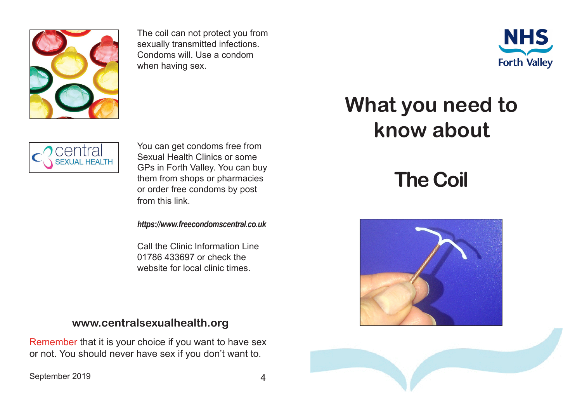

The coil can not protect you from sexually transmitted infections. Condoms will. Use a condom when having sex.



## entral **SEXUAL HEALTH**

You can get condoms free from Sexual Health Clinics or some GPs in Forth Valley. You can buy them from shops or pharmacies or order free condoms by post from this link.

*https://www.freecondomscentral.co.uk*

Call the Clinic Information Line 01786 433697 or check the website for local clinic times.

## **www.centralsexualhealth.org**

Remember that it is your choice if you want to have sex or not. You should never have sex if you don't want to.

September 2019 4

## **What you need to know about**

## **The Coil**